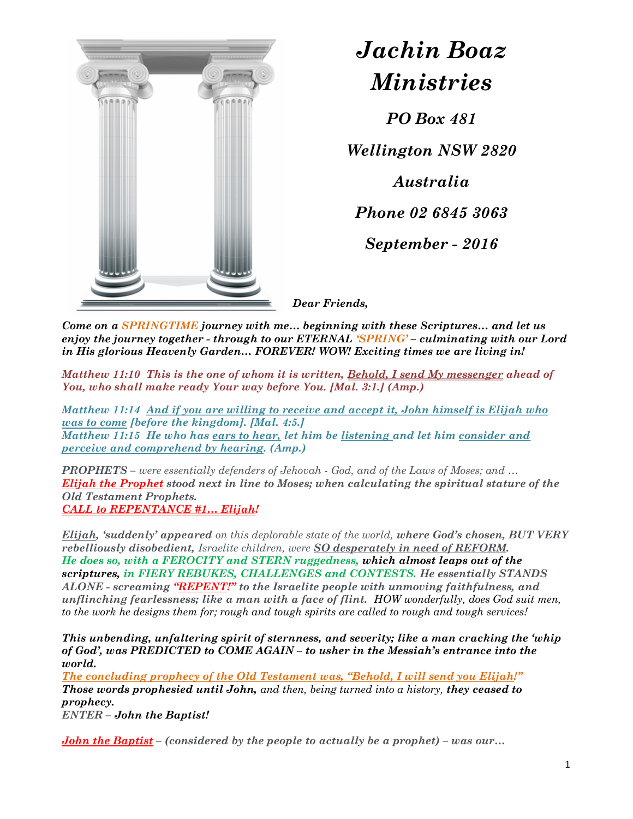

## Jachin Boaz Ministries

PO Box 481

Wellington NSW 2820

Australia

Phone 02 6845 3063

September - 2016

Dear Friends,

Come on a SPRINGTIME journey with me... beginning with these Scriptures... and let us enjoy the journey together - through to our ETERNAL 'SPRING' – culminating with our Lord in His glorious Heavenly Garden… FOREVER! WOW! Exciting times we are living in!

Matthew 11:10 This is the one of whom it is written, Behold, I send My messenger ahead of You, who shall make ready Your way before You. [Mal. 3:1.] (Amp.)

Matthew 11:14 And if you are willing to receive and accept it, John himself is Elijah who was to come [before the kingdom]. [Mal. 4:5.] Matthew 11:15 He who has ears to hear, let him be listening and let him consider and perceive and comprehend by hearing. (Amp.)

PROPHETS – were essentially defenders of Jehovah - God, and of the Laws of Moses; and … **Elijah the Prophet** stood next in line to Moses; when calculating the spiritual stature of the Old Testament Prophets. CALL to REPENTANCE #1… Elijah!

Elijah, 'suddenly' appeared on this deplorable state of the world, where God's chosen, BUT VERY rebelliously disobedient, Israelite children, were SO desperately in need of REFORM. He does so, with a FEROCITY and STERN ruggedness, which almost leaps out of the scriptures, in FIERY REBUKES, CHALLENGES and CONTESTS. He essentially STANDS ALONE - screaming "REPENT!" to the Israelite people with unmoving faithfulness, and unflinching fearlessness; like a man with a face of flint. HOW wonderfully, does God suit men, to the work he designs them for; rough and tough spirits are called to rough and tough services!

This unbending, unfaltering spirit of sternness, and severity; like a man cracking the 'whip of God', was PREDICTED to COME AGAIN – to usher in the Messiah's entrance into the world.

The concluding prophecy of the Old Testament was, "Behold, I will send you Elijah!" Those words prophesied until John, and then, being turned into a history, they ceased to prophecy.

ENTER – John the Baptist!

**John the Baptist** – (considered by the people to actually be a prophet) – was our...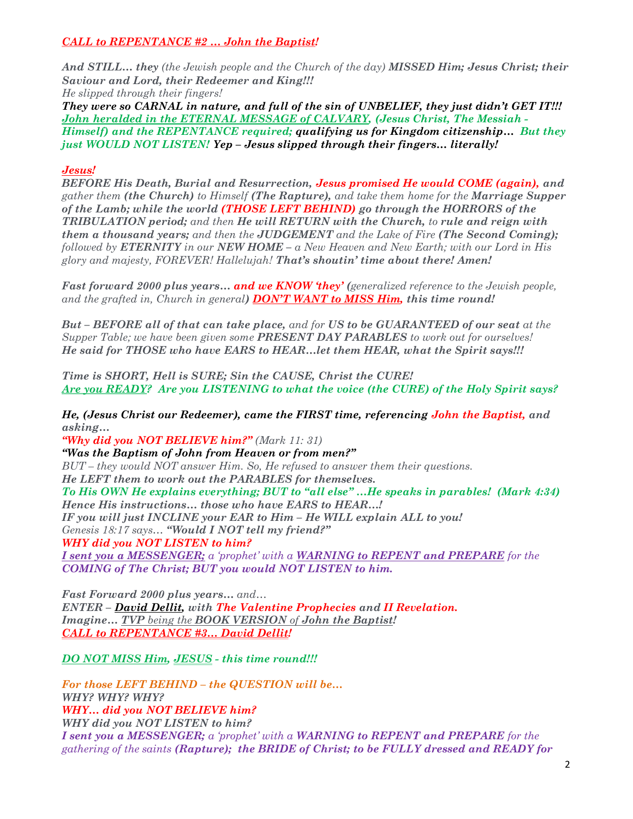## CALL to REPENTANCE #2 … John the Baptist!

And STILL... they (the Jewish people and the Church of the day) MISSED Him; Jesus Christ; their Saviour and Lord, their Redeemer and King!!! He slipped through their fingers!

They were so CARNAL in nature, and full of the sin of UNBELIEF, they just didn't GET IT!!! John heralded in the ETERNAL MESSAGE of CALVARY, (Jesus Christ, The Messiah - Himself) and the REPENTANCE required; qualifying us for Kingdom citizenship... But they just WOULD NOT LISTEN! Yep – Jesus slipped through their fingers… literally!

## Jesus!

BEFORE His Death, Burial and Resurrection, Jesus promised He would COME (again), and gather them (the Church) to Himself (The Rapture), and take them home for the Marriage Supper of the Lamb; while the world (THOSE LEFT BEHIND) go through the HORRORS of the TRIBULATION period; and then He will RETURN with the Church, to rule and reign with them a thousand years; and then the JUDGEMENT and the Lake of Fire (The Second Coming); followed by **ETERNITY** in our **NEW HOME** – a New Heaven and New Earth; with our Lord in His glory and majesty, FOREVER! Hallelujah! That's shoutin' time about there! Amen!

**Fast forward 2000 plus years... and we KNOW 'they' (generalized reference to the Jewish people,** and the grafted in, Church in general) **DON'T WANT to MISS Him, this time round!** 

But – BEFORE all of that can take place, and for US to be GUARANTEED of our seat at the Supper Table; we have been given some **PRESENT DAY PARABLES** to work out for ourselves! He said for THOSE who have EARS to HEAR…let them HEAR, what the Spirit says!!!

Time is SHORT, Hell is SURE; Sin the CAUSE, Christ the CURE! Are you READY? Are you LISTENING to what the voice (the CURE) of the Holy Spirit says?

He, (Jesus Christ our Redeemer), came the FIRST time, referencing John the Baptist, and asking…

"Why did you NOT BELIEVE him?" (Mark 11: 31) "Was the Baptism of John from Heaven or from men?" BUT – they would NOT answer Him. So, He refused to answer them their questions. He LEFT them to work out the PARABLES for themselves. To His OWN He explains everything; BUT to "all else" …He speaks in parables! (Mark 4:34) Hence His instructions… those who have EARS to HEAR…! IF you will just INCLINE your EAR to Him – He WILL explain ALL to you! Genesis 18:17 says… "Would I NOT tell my friend?" WHY did you NOT LISTEN to him? I sent you a MESSENGER; a 'prophet' with a WARNING to REPENT and PREPARE for the COMING of The Christ; BUT you would NOT LISTEN to him.

Fast Forward 2000 plus years… and… ENTER – David Dellit, with The Valentine Prophecies and II Revelation. Imagine... TVP being the BOOK VERSION of John the Baptist! CALL to REPENTANCE #3… David Dellit!

DO NOT MISS Him, JESUS - this time round!!!

For those LEFT BEHIND – the QUESTION will be… WHY? WHY? WHY... did you NOT BELIEVE him? WHY did you NOT LISTEN to him? I sent you a MESSENGER; a 'prophet' with a WARNING to REPENT and PREPARE for the gathering of the saints (Rapture); the BRIDE of Christ; to be FULLY dressed and READY for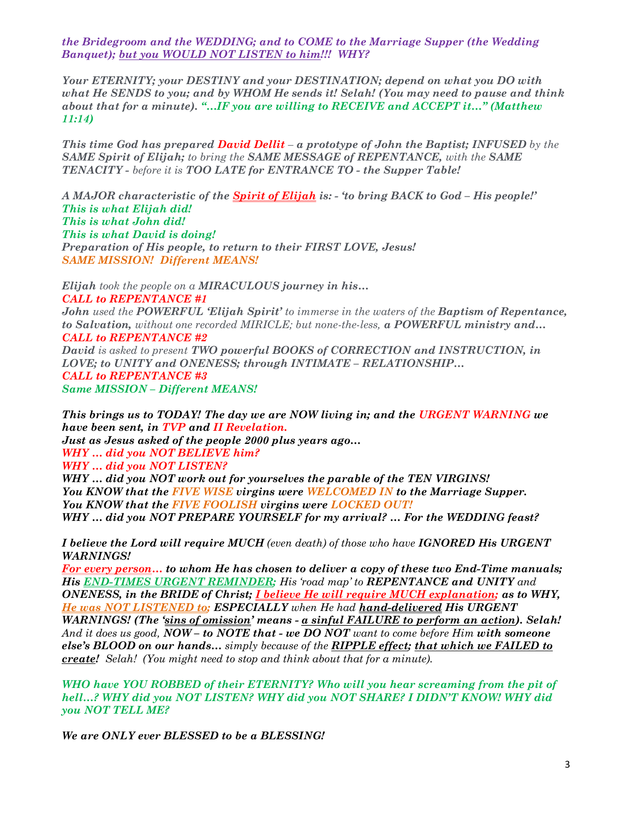the Bridegroom and the WEDDING; and to COME to the Marriage Supper (the Wedding Banquet); but you WOULD NOT LISTEN to him!!! WHY?

Your ETERNITY; your DESTINY and your DESTINATION; depend on what you DO with what He SENDS to you; and by WHOM He sends it! Selah! (You may need to pause and think about that for a minute). "…IF you are willing to RECEIVE and ACCEPT it…" (Matthew 11:14)

This time God has prepared **David Dellit** – a prototype of John the Baptist; INFUSED by the SAME Spirit of Elijah; to bring the SAME MESSAGE of REPENTANCE, with the SAME TENACITY - before it is TOO LATE for ENTRANCE TO - the Supper Table!

A MAJOR characteristic of the **Spirit of Elijah** is: - 'to bring BACK to God – His people!' This is what Elijah did! This is what John did! This is what David is doing! Preparation of His people, to return to their FIRST LOVE, Jesus! SAME MISSION! Different MEANS!

Elijah took the people on a MIRACULOUS journey in his... CALL to REPENTANCE #1 John used the POWERFUL 'Elijah Spirit' to immerse in the waters of the Baptism of Repentance, to Salvation, without one recorded MIRICLE; but none-the-less, a POWERFUL ministry and... CALL to REPENTANCE #2 David is asked to present TWO powerful BOOKS of CORRECTION and INSTRUCTION, in LOVE; to UNITY and ONENESS; through INTIMATE – RELATIONSHIP… CALL to REPENTANCE #3

Same MISSION – Different MEANS!

This brings us to TODAY! The day we are NOW living in; and the URGENT WARNING we have been sent, in TVP and II Revelation.

Just as Jesus asked of the people 2000 plus years ago… WHY ... did you NOT BELIEVE him?

WHY ... did you NOT LISTEN?

WHY ... did you NOT work out for yourselves the parable of the TEN VIRGINS! You KNOW that the FIVE WISE virgins were WELCOMED IN to the Marriage Supper. You KNOW that the FIVE FOOLISH virgins were LOCKED OUT! WHY ... did you NOT PREPARE YOURSELF for my arrival? ... For the WEDDING feast?

I believe the Lord will require MUCH (even death) of those who have IGNORED His URGENT WARNINGS!

For every person... to whom He has chosen to deliver a copy of these two End-Time manuals; His END-TIMES URGENT REMINDER; His 'road map' to REPENTANCE and UNITY and ONENESS, in the BRIDE of Christ; *I believe He will require MUCH explanation*; as to WHY, He was NOT LISTENED to; ESPECIALLY when He had hand-delivered His URGENT WARNINGS! (The 'sins of omission' means - a sinful FAILURE to perform an action). Selah! And it does us good, NOW – to NOTE that - we DO NOT want to come before Him with someone else's BLOOD on our hands... simply because of the RIPPLE effect; that which we FAILED to create! Selah! (You might need to stop and think about that for a minute).

WHO have YOU ROBBED of their ETERNITY? Who will you hear screaming from the pit of hell…? WHY did you NOT LISTEN? WHY did you NOT SHARE? I DIDN'T KNOW! WHY did you NOT TELL ME?

We are ONLY ever BLESSED to be a BLESSING!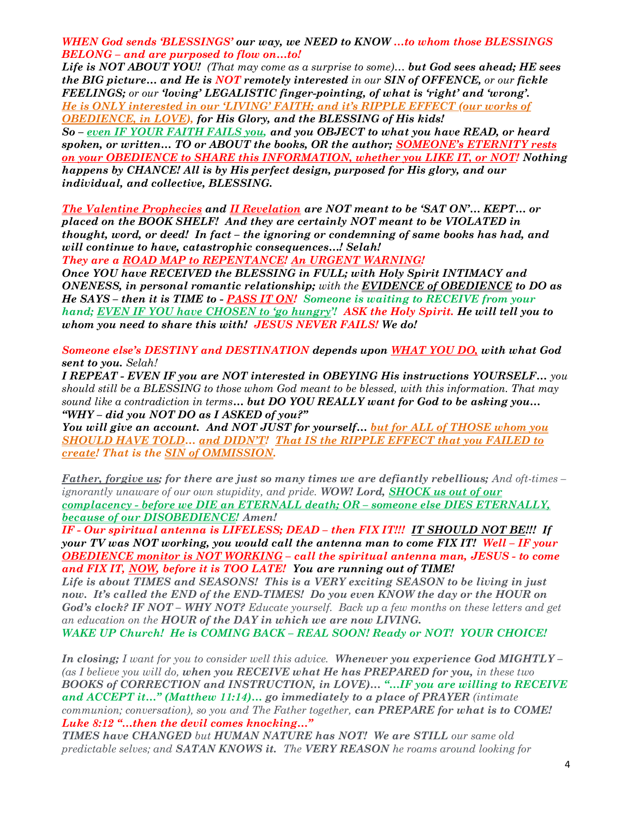WHEN God sends 'BLESSINGS' our way, we NEED to KNOW …to whom those BLESSINGS BELONG – and are purposed to flow on…to!

Life is NOT ABOUT YOU! (That may come as a surprise to some)... but God sees ahead; HE sees the BIG picture... and He is NOT remotely interested in our SIN of OFFENCE, or our fickle FEELINGS; or our 'loving' LEGALISTIC finger-pointing, of what is 'right' and 'wrong'. He is ONLY interested in our 'LIVING' FAITH; and it's RIPPLE EFFECT (our works of OBEDIENCE, in LOVE), for His Glory, and the BLESSING of His kids! So - even IF YOUR FAITH FAILS you, and you OBJECT to what you have READ, or heard spoken, or written… TO or ABOUT the books, OR the author; SOMEONE's ETERNITY rests on your OBEDIENCE to SHARE this INFORMATION, whether you LIKE IT, or NOT! Nothing happens by CHANCE! All is by His perfect design, purposed for His glory, and our individual, and collective, BLESSING.

The Valentine Prophecies and II Revelation are NOT meant to be 'SAT ON'… KEPT… or placed on the BOOK SHELF! And they are certainly NOT meant to be VIOLATED in thought, word, or deed! In fact – the ignoring or condemning of same books has had, and will continue to have, catastrophic consequences...! Selah!

They are a ROAD MAP to REPENTANCE! An URGENT WARNING!

Once YOU have RECEIVED the BLESSING in FULL; with Holy Spirit INTIMACY and ONENESS, in personal romantic relationship; with the EVIDENCE of OBEDIENCE to DO as He SAYS – then it is TIME to - PASS IT ON! Someone is waiting to RECEIVE from your hand; EVEN IF YOU have CHOSEN to 'go hungry'! ASK the Holy Spirit. He will tell you to whom you need to share this with! JESUS NEVER FAILS! We do!

Someone else's DESTINY and DESTINATION depends upon WHAT YOU DO, with what God sent to you. Selah!

I REPEAT - EVEN IF you are NOT interested in OBEYING His instructions YOURSELF… you should still be a BLESSING to those whom God meant to be blessed, with this information. That may sound like a contradiction in terms... but DO YOU REALLY want for God to be asking you... "WHY – did you NOT DO as I ASKED of you?"

You will give an account. And NOT JUST for yourself… but for ALL of THOSE whom you SHOULD HAVE TOLD... and DIDN'T! That IS the RIPPLE EFFECT that you FAILED to create! That is the **SIN of OMMISSION**.

Father, forgive us; for there are just so many times we are defiantly rebellious; And oft-times – ignorantly unaware of our own stupidity, and pride. WOW! Lord, SHOCK us out of our complacency - before we DIE an ETERNALL death; OR – someone else DIES ETERNALLY, because of our DISOBEDIENCE! Amen!

IF - Our spiritual antenna is LIFELESS; DEAD – then FIX IT!!! IT SHOULD NOT BE!!! If your TV was NOT working, you would call the antenna man to come FIX IT! Well – IF your OBEDIENCE monitor is NOT WORKING – call the spiritual antenna man, JESUS - to come and FIX IT, NOW, before it is TOO LATE! You are running out of TIME!

Life is about TIMES and SEASONS! This is a VERY exciting SEASON to be living in just now. It's called the END of the END-TIMES! Do you even KNOW the day or the HOUR on God's clock? IF NOT – WHY NOT? Educate yourself. Back up a few months on these letters and get an education on the HOUR of the DAY in which we are now LIVING.

WAKE UP Church! He is COMING BACK – REAL SOON! Ready or NOT! YOUR CHOICE!

In closing; I want for you to consider well this advice. Whenever you experience God MIGHTLY – (as I believe you will do, when you RECEIVE what He has PREPARED for you, in these two BOOKS of CORRECTION and INSTRUCTION, in LOVE)… "…IF you are willing to RECEIVE and ACCEPT it…" (Matthew 11:14)… go immediately to a place of PRAYER (intimate communion; conversation), so you and The Father together, can PREPARE for what is to COME! Luke 8:12 "…then the devil comes knocking…"

TIMES have CHANGED but HUMAN NATURE has NOT! We are STILL our same old predictable selves; and **SATAN KNOWS it.** The **VERY REASON** he roams around looking for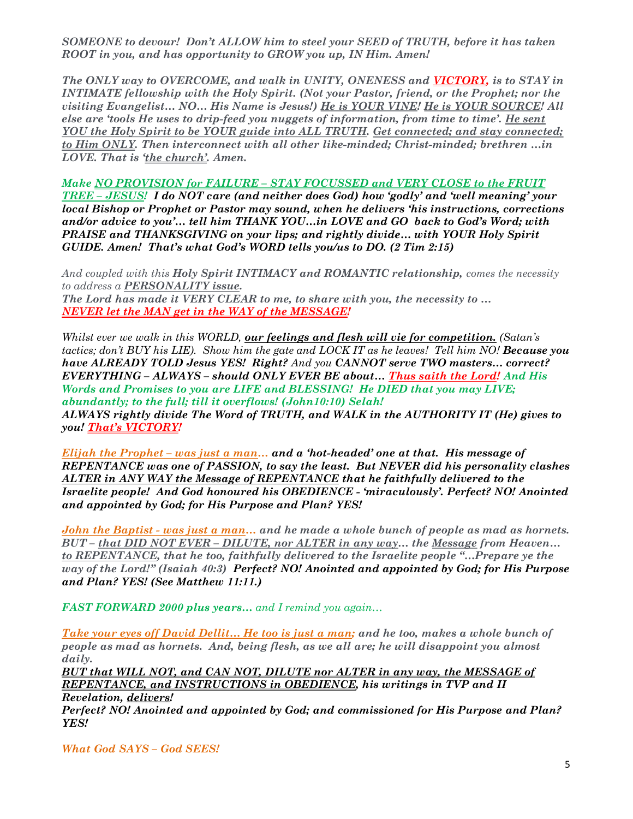SOMEONE to devour! Don't ALLOW him to steel your SEED of TRUTH, before it has taken ROOT in you, and has opportunity to GROW you up, IN Him. Amen!

The ONLY way to OVERCOME, and walk in UNITY, ONENESS and VICTORY, is to STAY in INTIMATE fellowship with the Holy Spirit. (Not your Pastor, friend, or the Prophet; nor the visiting Evangelist… NO… His Name is Jesus!) He is YOUR VINE! He is YOUR SOURCE! All else are 'tools He uses to drip-feed you nuggets of information, from time to time'. He sent YOU the Holy Spirit to be YOUR guide into ALL TRUTH. Get connected; and stay connected; to Him ONLY. Then interconnect with all other like-minded; Christ-minded; brethren …in LOVE. That is 'the church'. Amen.

Make NO PROVISION for FAILURE – STAY FOCUSSED and VERY CLOSE to the FRUIT TREE – JESUS! I do NOT care (and neither does God) how 'godly' and 'well meaning' your local Bishop or Prophet or Pastor may sound, when he delivers 'his instructions, corrections and/or advice to you'… tell him THANK YOU…in LOVE and GO back to God's Word; with PRAISE and THANKSGIVING on your lips; and rightly divide… with YOUR Holy Spirit GUIDE. Amen! That's what God's WORD tells you/us to DO. (2 Tim 2:15)

And coupled with this Holy Spirit INTIMACY and ROMANTIC relationship, comes the necessity to address a PERSONALITY issue.

The Lord has made it VERY CLEAR to me, to share with you, the necessity to … NEVER let the MAN get in the WAY of the MESSAGE!

Whilst ever we walk in this WORLD, our feelings and flesh will vie for competition. (Satan's tactics; don't BUY his LIE). Show him the gate and LOCK IT as he leaves! Tell him NO! Because you have ALREADY TOLD Jesus YES! Right? And you CANNOT serve TWO masters... correct? EVERYTHING – ALWAYS – should ONLY EVER BE about… Thus saith the Lord! And His Words and Promises to you are LIFE and BLESSING! He DIED that you may LIVE; abundantly; to the full; till it overflows! (John10:10) Selah! ALWAYS rightly divide The Word of TRUTH, and WALK in the AUTHORITY IT (He) gives to you! That's VICTORY!

Elijah the Prophet – was just a man... and a 'hot-headed' one at that. His message of REPENTANCE was one of PASSION, to say the least. But NEVER did his personality clashes ALTER in ANY WAY the Message of REPENTANCE that he faithfully delivered to the Israelite people! And God honoured his OBEDIENCE - 'miraculously'. Perfect? NO! Anointed and appointed by God; for His Purpose and Plan? YES!

John the Baptist - was just a man... and he made a whole bunch of people as mad as hornets. BUT – that DID NOT EVER – DILUTE, nor ALTER in any way… the Message from Heaven… to REPENTANCE, that he too, faithfully delivered to the Israelite people "…Prepare ye the way of the Lord!" (Isaiah 40:3) Perfect? NO! Anointed and appointed by God; for His Purpose and Plan? YES! (See Matthew 11:11.)

FAST FORWARD 2000 plus years... and I remind you again...

Take your eyes off David Dellit... He too is just a man; and he too, makes a whole bunch of people as mad as hornets. And, being flesh, as we all are; he will disappoint you almost daily.

BUT that WILL NOT, and CAN NOT, DILUTE nor ALTER in any way, the MESSAGE of REPENTANCE, and INSTRUCTIONS in OBEDIENCE, his writings in TVP and II

Revelation, delivers! Perfect? NO! Anointed and appointed by God; and commissioned for His Purpose and Plan? YES!

What God SAYS – God SEES!